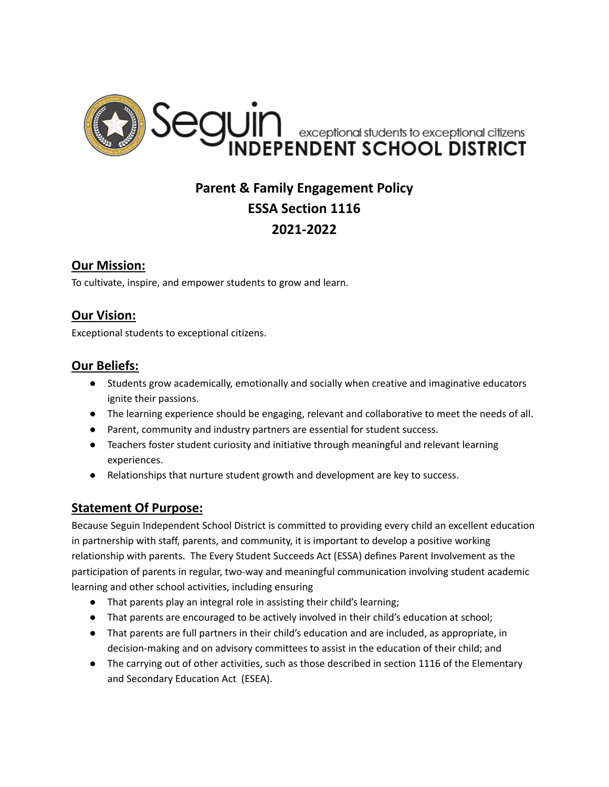

# **Parent & Family Engagement Policy ESSA Section 1116 2021-2022**

### **Our Mission:**

To cultivate, inspire, and empower students to grow and learn.

## **Our Vision:**

Exceptional students to exceptional citizens.

### **Our Beliefs:**

- Students grow academically, emotionally and socially when creative and imaginative educators ignite their passions.
- The learning experience should be engaging, relevant and collaborative to meet the needs of all.
- Parent, community and industry partners are essential for student success.
- Teachers foster student curiosity and initiative through meaningful and relevant learning experiences.
- Relationships that nurture student growth and development are key to success.

### **Statement Of Purpose:**

Because Seguin Independent School District is committed to providing every child an excellent education in partnership with staff, parents, and community, it is important to develop a positive working relationship with parents. The Every Student Succeeds Act (ESSA) defines Parent Involvement as the participation of parents in regular, two-way and meaningful communication involving student academic learning and other school activities, including ensuring

- That parents play an integral role in assisting their child's learning;
- That parents are encouraged to be actively involved in their child's education at school;
- That parents are full partners in their child's education and are included, as appropriate, in decision-making and on advisory committees to assist in the education of their child; and
- The carrying out of other activities, such as those described in section 1116 of the Elementary and Secondary Education Act (ESEA).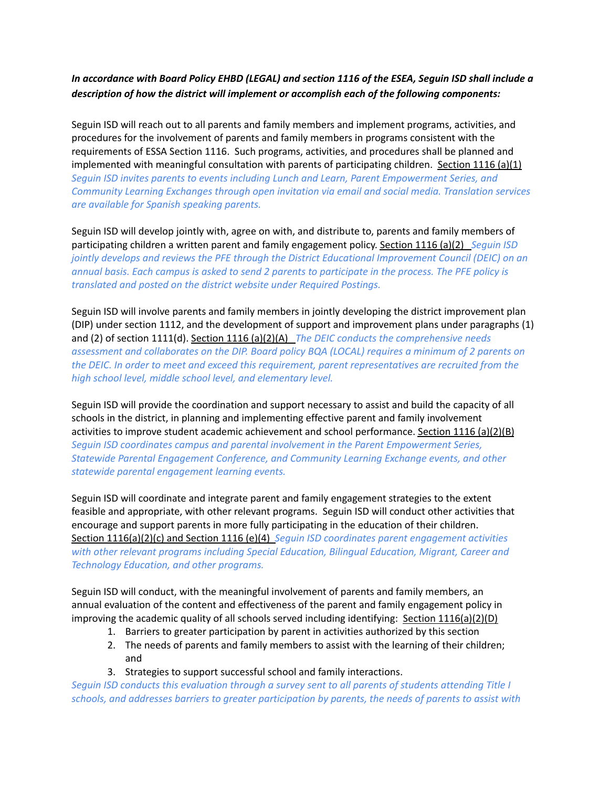#### In accordance with Board Policy EHBD (LEGAL) and section 1116 of the ESEA, Sequin ISD shall include a *description of how the district will implement or accomplish each of the following components:*

Seguin ISD will reach out to all parents and family members and implement programs, activities, and procedures for the involvement of parents and family members in programs consistent with the requirements of ESSA Section 1116. Such programs, activities, and procedures shall be planned and implemented with meaningful consultation with parents of participating children. Section 1116 (a)(1) *Seguin ISD invites parents to events including Lunch and Learn, Parent Empowerment Series, and Community Learning Exchanges through open invitation via email and social media. Translation services are available for Spanish speaking parents.*

Seguin ISD will develop jointly with, agree on with, and distribute to, parents and family members of participating children a written parent and family engagement policy. Section 1116 (a)(2) *Seguin ISD jointly develops and reviews the PFE through the District Educational Improvement Council (DEIC) on an* annual basis. Each campus is asked to send 2 parents to participate in the process. The PFE policy is *translated and posted on the district website under Required Postings.*

Seguin ISD will involve parents and family members in jointly developing the district improvement plan (DIP) under section 1112, and the development of support and improvement plans under paragraphs (1) and (2) of section 1111(d). Section 1116 (a)(2)(A) *The DEIC conducts the comprehensive needs assessment and collaborates on the DIP. Board policy BQA (LOCAL) requires a minimum of 2 parents on the DEIC. In order to meet and exceed this requirement, parent representatives are recruited from the high school level, middle school level, and elementary level.*

Seguin ISD will provide the coordination and support necessary to assist and build the capacity of all schools in the district, in planning and implementing effective parent and family involvement activities to improve student academic achievement and school performance. Section 1116 (a)(2)(B) *Seguin ISD coordinates campus and parental involvement in the Parent Empowerment Series, Statewide Parental Engagement Conference, and Community Learning Exchange events, and other statewide parental engagement learning events.*

Seguin ISD will coordinate and integrate parent and family engagement strategies to the extent feasible and appropriate, with other relevant programs. Seguin ISD will conduct other activities that encourage and support parents in more fully participating in the education of their children. Section 1116(a)(2)(c) and Section 1116 (e)(4) *Seguin ISD coordinates parent engagement activities with other relevant programs including Special Education, Bilingual Education, Migrant, Career and Technology Education, and other programs.*

Seguin ISD will conduct, with the meaningful involvement of parents and family members, an annual evaluation of the content and effectiveness of the parent and family engagement policy in improving the academic quality of all schools served including identifying: Section 1116(a)(2)(D)

- 1. Barriers to greater participation by parent in activities authorized by this section
- 2. The needs of parents and family members to assist with the learning of their children; and
- 3. Strategies to support successful school and family interactions.

*Seguin ISD conducts this evaluation through a survey sent to all parents of students attending Title I schools, and addresses barriers to greater participation by parents, the needs of parents to assist with*